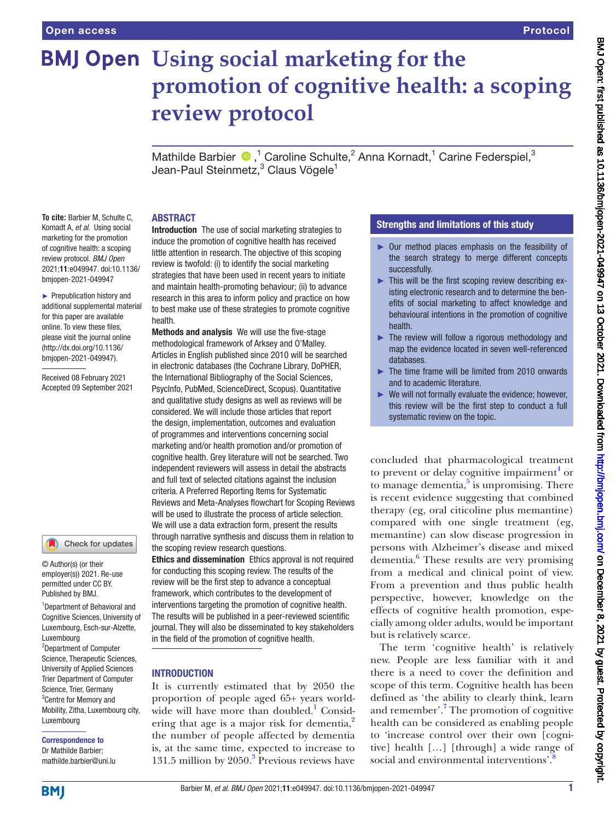# **BMJ Open** Using social marketing for the **promotion of cognitive health: a scoping review protocol**

MathildeBarbier  $\bullet$ ,<sup>1</sup> Caroline Schulte,<sup>2</sup> Anna Kornadt,<sup>1</sup> Carine Federspiel,<sup>3</sup> Jean-Paul Steinmetz,<sup>3</sup> Claus Vögele<sup>1</sup>

### ABSTRACT

**To cite:** Barbier M, Schulte C, Kornadt A, *et al*. Using social marketing for the promotion of cognitive health: a scoping review protocol. *BMJ Open* 2021;11:e049947. doi:10.1136/ bmjopen-2021-049947

► Prepublication history and additional supplemental material for this paper are available online. To view these files, please visit the journal online [\(http://dx.doi.org/10.1136/](http://dx.doi.org/10.1136/bmjopen-2021-049947) [bmjopen-2021-049947](http://dx.doi.org/10.1136/bmjopen-2021-049947)).

Received 08 February 2021 Accepted 09 September 2021

# Check for updates

© Author(s) (or their employer(s)) 2021. Re-use permitted under CC BY. Published by BMJ.

1 Department of Behavioral and Cognitive Sciences, University of Luxembourg, Esch-sur-Alzette, Luxembourg 2 Department of Computer Science, Therapeutic Sciences, University of Applied Sciences Trier Department of Computer Science, Trier, Germany 3 Centre for Memory and Mobility, Zitha, Luxembourg city, Luxembourg

Correspondence to Dr Mathilde Barbier; mathilde.barbier@uni.lu

Introduction The use of social marketing strategies to induce the promotion of cognitive health has received little attention in research. The objective of this scoping review is twofold: (i) to identify the social marketing strategies that have been used in recent years to initiate and maintain health-promoting behaviour; (ii) to advance research in this area to inform policy and practice on how to best make use of these strategies to promote cognitive health.

Methods and analysis We will use the five-stage methodological framework of Arksey and O'Malley. Articles in English published since 2010 will be searched in electronic databases (the Cochrane Library, DoPHER, the International Bibliography of the Social Sciences, PsycInfo, PubMed, ScienceDirect, Scopus). Quantitative and qualitative study designs as well as reviews will be considered. We will include those articles that report the design, implementation, outcomes and evaluation of programmes and interventions concerning social marketing and/or health promotion and/or promotion of cognitive health. Grey literature will not be searched. Two independent reviewers will assess in detail the abstracts and full text of selected citations against the inclusion criteria. A Preferred Reporting Items for Systematic Reviews and Meta-Analyses flowchart for Scoping Reviews will be used to illustrate the process of article selection. We will use a data extraction form, present the results through narrative synthesis and discuss them in relation to the scoping review research questions.

Ethics and dissemination Ethics approval is not required for conducting this scoping review. The results of the review will be the first step to advance a conceptual framework, which contributes to the development of interventions targeting the promotion of cognitive health. The results will be published in a peer-reviewed scientific journal. They will also be disseminated to key stakeholders in the field of the promotion of cognitive health.

### **INTRODUCTION**

It is currently estimated that by 2050 the proportion of people aged 65+ years worldwide will have more than doubled.<sup>1</sup> Consid-ering that age is a major risk for dementia,<sup>[2](#page-4-1)</sup> the number of people affected by dementia is, at the same time, expected to increase to 1[3](#page-4-2)1.5 million by  $2050$ .<sup>3</sup> Previous reviews have

### Strengths and limitations of this study

- ► Our method places emphasis on the feasibility of the search strategy to merge different concepts successfully.
- ► This will be the first scoping review describing existing electronic research and to determine the benefits of social marketing to affect knowledge and behavioural intentions in the promotion of cognitive health.
- ► The review will follow a rigorous methodology and map the evidence located in seven well-referenced databases.
- ► The time frame will be limited from 2010 onwards and to academic literature.
- ► We will not formally evaluate the evidence; however, this review will be the first step to conduct a full systematic review on the topic.

concluded that pharmacological treatment to prevent or delay cognitive impairment $<sup>4</sup>$  $<sup>4</sup>$  $<sup>4</sup>$  or</sup> to manage dementia,<sup>5</sup> is unpromising. There is recent evidence suggesting that combined therapy (eg, oral citicoline plus memantine) compared with one single treatment (eg, memantine) can slow disease progression in persons with Alzheimer's disease and mixed dementia.<sup>[6](#page-4-5)</sup> These results are very promising from a medical and clinical point of view. From a prevention and thus public health perspective, however, knowledge on the effects of cognitive health promotion, especially among older adults, would be important but is relatively scarce.

The term 'cognitive health' is relatively new. People are less familiar with it and there is a need to cover the definition and scope of this term. Cognitive health has been defined as 'the ability to clearly think, learn and remember'.<sup>[7](#page-4-6)</sup> The promotion of cognitive health can be considered as enabling people to 'increase control over their own [cognitive] health […] [through] a wide range of social and environmental interventions'.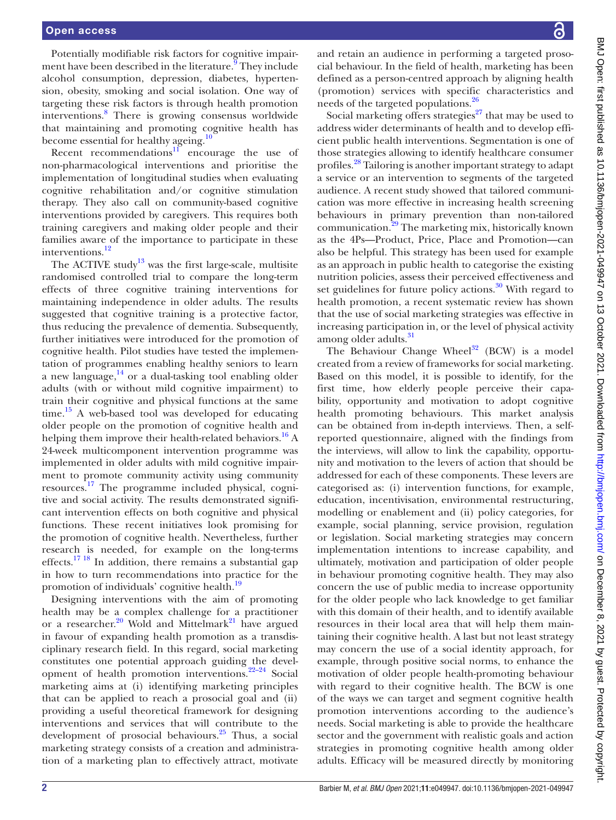Potentially modifiable risk factors for cognitive impair-ment have been described in the literature.<sup>[9](#page-4-8)</sup> They include alcohol consumption, depression, diabetes, hypertension, obesity, smoking and social isolation. One way of targeting these risk factors is through health promotion interventions.[8](#page-4-7) There is growing consensus worldwide that maintaining and promoting cognitive health has become essential for healthy ageing.<sup>[10](#page-4-9)</sup>

Recent recommendations $11$  encourage the use of non-pharmacological interventions and prioritise the implementation of longitudinal studies when evaluating cognitive rehabilitation and/or cognitive stimulation therapy. They also call on community-based cognitive interventions provided by caregivers. This requires both training caregivers and making older people and their families aware of the importance to participate in these interventions.<sup>[12](#page-4-11)</sup>

The ACTIVE study<sup>13</sup> was the first large-scale, multisite randomised controlled trial to compare the long-term effects of three cognitive training interventions for maintaining independence in older adults. The results suggested that cognitive training is a protective factor, thus reducing the prevalence of dementia. Subsequently, further initiatives were introduced for the promotion of cognitive health. Pilot studies have tested the implementation of programmes enabling healthy seniors to learn a new language, $14$  or a dual-tasking tool enabling older adults (with or without mild cognitive impairment) to train their cognitive and physical functions at the same  $time.<sup>15</sup>$  A web-based tool was developed for educating older people on the promotion of cognitive health and helping them improve their health-related behaviors.<sup>16</sup> A 24-week multicomponent intervention programme was implemented in older adults with mild cognitive impairment to promote community activity using community resources.<sup>[17](#page-4-16)</sup> The programme included physical, cognitive and social activity. The results demonstrated significant intervention effects on both cognitive and physical functions. These recent initiatives look promising for the promotion of cognitive health. Nevertheless, further research is needed, for example on the long-terms effects.[17 18](#page-4-16) In addition, there remains a substantial gap in how to turn recommendations into practice for the promotion of individuals' cognitive health.[19](#page-4-17)

Designing interventions with the aim of promoting health may be a complex challenge for a practitioner or a researcher.<sup>[20](#page-5-0)</sup> Wold and Mittelmark<sup>21</sup> have argued in favour of expanding health promotion as a transdisciplinary research field. In this regard, social marketing constitutes one potential approach guiding the development of health promotion interventions. $22-24$  Social marketing aims at (i) identifying marketing principles that can be applied to reach a prosocial goal and (ii) providing a useful theoretical framework for designing interventions and services that will contribute to the development of prosocial behaviours.<sup>25</sup> Thus, a social marketing strategy consists of a creation and administration of a marketing plan to effectively attract, motivate

and retain an audience in performing a targeted prosocial behaviour. In the field of health, marketing has been defined as a person-centred approach by aligning health (promotion) services with specific characteristics and needs of the targeted populations.<sup>26</sup>

Social marketing offers strategies $27$  that may be used to address wider determinants of health and to develop efficient public health interventions. Segmentation is one of those strategies allowing to identify healthcare consumer profiles.<sup>28</sup> Tailoring is another important strategy to adapt a service or an intervention to segments of the targeted audience. A recent study showed that tailored communication was more effective in increasing health screening behaviours in primary prevention than non-tailored communication[.29](#page-5-7) The marketing mix, historically known as the 4Ps—Product, Price, Place and Promotion—can also be helpful. This strategy has been used for example as an approach in public health to categorise the existing nutrition policies, assess their perceived effectiveness and set guidelines for future policy actions. $30$  With regard to health promotion, a recent systematic review has shown that the use of social marketing strategies was effective in increasing participation in, or the level of physical activity among older adults.<sup>[31](#page-5-9)</sup>

The Behaviour Change Wheel $32$  (BCW) is a model created from a review of frameworks for social marketing. Based on this model, it is possible to identify, for the first time, how elderly people perceive their capability, opportunity and motivation to adopt cognitive health promoting behaviours. This market analysis can be obtained from in-depth interviews. Then, a selfreported questionnaire, aligned with the findings from the interviews, will allow to link the capability, opportunity and motivation to the levers of action that should be addressed for each of these components. These levers are categorised as: (i) intervention functions, for example, education, incentivisation, environmental restructuring, modelling or enablement and (ii) policy categories, for example, social planning, service provision, regulation or legislation. Social marketing strategies may concern implementation intentions to increase capability, and ultimately, motivation and participation of older people in behaviour promoting cognitive health. They may also concern the use of public media to increase opportunity for the older people who lack knowledge to get familiar with this domain of their health, and to identify available resources in their local area that will help them maintaining their cognitive health. A last but not least strategy may concern the use of a social identity approach, for example, through positive social norms, to enhance the motivation of older people health-promoting behaviour with regard to their cognitive health. The BCW is one of the ways we can target and segment cognitive health promotion interventions according to the audience's needs. Social marketing is able to provide the healthcare sector and the government with realistic goals and action strategies in promoting cognitive health among older adults. Efficacy will be measured directly by monitoring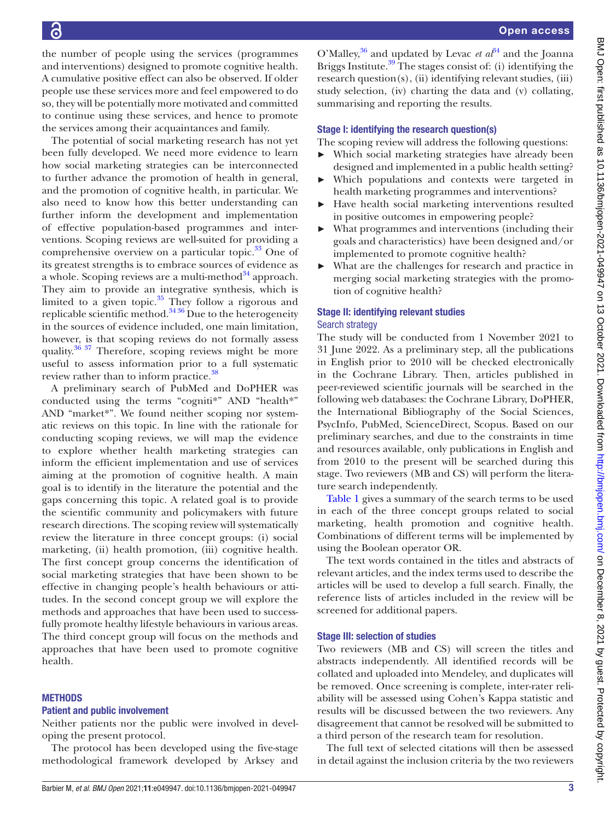the number of people using the services (programmes and interventions) designed to promote cognitive health. A cumulative positive effect can also be observed. If older people use these services more and feel empowered to do so, they will be potentially more motivated and committed to continue using these services, and hence to promote the services among their acquaintances and family.

The potential of social marketing research has not yet been fully developed. We need more evidence to learn how social marketing strategies can be interconnected to further advance the promotion of health in general, and the promotion of cognitive health, in particular. We also need to know how this better understanding can further inform the development and implementation of effective population-based programmes and interventions. Scoping reviews are well-suited for providing a comprehensive overview on a particular topic.<sup>33</sup> One of its greatest strengths is to embrace sources of evidence as a whole. Scoping reviews are a multi-method $34$  approach. They aim to provide an integrative synthesis, which is limited to a given topic. $35$  They follow a rigorous and replicable scientific method.<sup>34 36</sup> Due to the heterogeneity in the sources of evidence included, one main limitation, however, is that scoping reviews do not formally assess quality. $36\frac{37}{10}$  Therefore, scoping reviews might be more useful to assess information prior to a full systematic review rather than to inform practice.<sup>38</sup>

A preliminary search of PubMed and DoPHER was conducted using the terms "cogniti\*" AND "health\*" AND "market\*". We found neither scoping nor systematic reviews on this topic. In line with the rationale for conducting scoping reviews, we will map the evidence to explore whether health marketing strategies can inform the efficient implementation and use of services aiming at the promotion of cognitive health. A main goal is to identify in the literature the potential and the gaps concerning this topic. A related goal is to provide the scientific community and policymakers with future research directions. The scoping review will systematically review the literature in three concept groups: (i) social marketing, (ii) health promotion, (iii) cognitive health. The first concept group concerns the identification of social marketing strategies that have been shown to be effective in changing people's health behaviours or attitudes. In the second concept group we will explore the methods and approaches that have been used to successfully promote healthy lifestyle behaviours in various areas. The third concept group will focus on the methods and approaches that have been used to promote cognitive health.

### **METHODS**

### Patient and public involvement

Neither patients nor the public were involved in developing the present protocol.

The protocol has been developed using the five-stage methodological framework developed by Arksey and

O'Malley,<sup>[36](#page-5-14)</sup> and updated by Levac *et*  $a^{3/4}$  and the Joanna Briggs Institute. $39$  The stages consist of: (i) identifying the research question(s), (ii) identifying relevant studies, (iii) study selection, (iv) charting the data and (v) collating, summarising and reporting the results.

### Stage I: identifying the research question(s)

The scoping review will address the following questions:

- ► Which social marketing strategies have already been designed and implemented in a public health setting?
- Which populations and contexts were targeted in health marketing programmes and interventions?
- Have health social marketing interventions resulted in positive outcomes in empowering people?
- What programmes and interventions (including their goals and characteristics) have been designed and/or implemented to promote cognitive health?
- ► What are the challenges for research and practice in merging social marketing strategies with the promotion of cognitive health?

### Stage II: identifying relevant studies Search strategy

The study will be conducted from 1 November 2021 to 31 June 2022. As a preliminary step, all the publications in English prior to 2010 will be checked electronically in the Cochrane Library. Then, articles published in peer-reviewed scientific journals will be searched in the following web databases: the Cochrane Library, DoPHER, the International Bibliography of the Social Sciences, PsycInfo, PubMed, ScienceDirect, Scopus. Based on our preliminary searches, and due to the constraints in time and resources available, only publications in English and from 2010 to the present will be searched during this stage. Two reviewers (MB and CS) will perform the literature search independently.

[Table](#page-3-0) 1 gives a summary of the search terms to be used in each of the three concept groups related to social marketing, health promotion and cognitive health. Combinations of different terms will be implemented by using the Boolean operator OR.

The text words contained in the titles and abstracts of relevant articles, and the index terms used to describe the articles will be used to develop a full search. Finally, the reference lists of articles included in the review will be screened for additional papers.

### Stage III: selection of studies

Two reviewers (MB and CS) will screen the titles and abstracts independently. All identified records will be collated and uploaded into Mendeley, and duplicates will be removed. Once screening is complete, inter-rater reliability will be assessed using Cohen's Kappa statistic and results will be discussed between the two reviewers. Any disagreement that cannot be resolved will be submitted to a third person of the research team for resolution.

The full text of selected citations will then be assessed in detail against the inclusion criteria by the two reviewers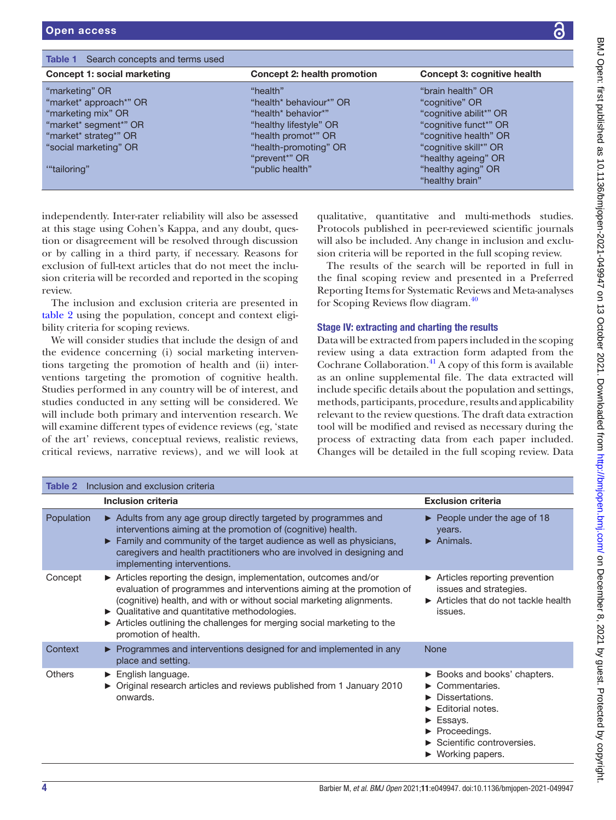<span id="page-3-0"></span>

| <b>Table 1</b> Search concepts and terms used |                             |                             |
|-----------------------------------------------|-----------------------------|-----------------------------|
| Concept 1: social marketing                   | Concept 2: health promotion | Concept 3: cognitive health |
| "marketing" OR                                | "health"                    | "brain health" OR           |
| "market* approach*" OR                        | "health* behaviour*" OR     | "cognitive" OR              |
| "marketing mix" OR                            | "health* behavior*"         | "cognitive abilit*" OR      |
| "market* segment*" OR                         | "healthy lifestyle" OR      | "cognitive funct*" OR       |
| "market* strateg*" OR                         | "health promot*" OR         | "cognitive health" OR       |
| "social marketing" OR                         | "health-promoting" OR       | "cognitive skill*" OR       |
|                                               | "prevent*" OR               | "healthy ageing" OR         |
| "tailoring"                                   | "public health"             | "healthy aging" OR          |
|                                               |                             | "healthy brain"             |

independently. Inter-rater reliability will also be assessed at this stage using Cohen's Kappa, and any doubt, question or disagreement will be resolved through discussion or by calling in a third party, if necessary. Reasons for exclusion of full-text articles that do not meet the inclusion criteria will be recorded and reported in the scoping review.

The inclusion and exclusion criteria are presented in [table](#page-3-1) 2 using the population, concept and context eligibility criteria for scoping reviews.

We will consider studies that include the design of and the evidence concerning (i) social marketing interventions targeting the promotion of health and (ii) interventions targeting the promotion of cognitive health. Studies performed in any country will be of interest, and studies conducted in any setting will be considered. We will include both primary and intervention research. We will examine different types of evidence reviews (eg, 'state of the art' reviews, conceptual reviews, realistic reviews, critical reviews, narrative reviews), and we will look at

qualitative, quantitative and multi-methods studies. Protocols published in peer-reviewed scientific journals will also be included. Any change in inclusion and exclusion criteria will be reported in the full scoping review.

The results of the search will be reported in full in the final scoping review and presented in a Preferred Reporting Items for Systematic Reviews and Meta-analyses for Scoping Reviews flow diagram[.40](#page-5-17)

# Stage IV: extracting and charting the results

Data will be extracted from papers included in the scoping review using a data extraction form adapted from the Cochrane Collaboration.<sup>41</sup> A copy of this form is available as an [online supplemental file.](https://dx.doi.org/10.1136/bmjopen-2021-049947) The data extracted will include specific details about the population and settings, methods, participants, procedure, results and applicability relevant to the review questions. The draft data extraction tool will be modified and revised as necessary during the process of extracting data from each paper included. Changes will be detailed in the full scoping review. Data

<span id="page-3-1"></span>

| Table 2       | Inclusion and exclusion criteria                                                                                                                                                                                                                                                                                                                                  |                                                                                                                                                                                                                                      |  |  |  |
|---------------|-------------------------------------------------------------------------------------------------------------------------------------------------------------------------------------------------------------------------------------------------------------------------------------------------------------------------------------------------------------------|--------------------------------------------------------------------------------------------------------------------------------------------------------------------------------------------------------------------------------------|--|--|--|
|               | <b>Inclusion criteria</b>                                                                                                                                                                                                                                                                                                                                         | <b>Exclusion criteria</b>                                                                                                                                                                                                            |  |  |  |
| Population    | Adults from any age group directly targeted by programmes and<br>interventions aiming at the promotion of (cognitive) health.<br>Family and community of the target audience as well as physicians,<br>caregivers and health practitioners who are involved in designing and<br>implementing interventions.                                                       | $\triangleright$ People under the age of 18<br>years.<br>$\blacktriangleright$ Animals.                                                                                                                                              |  |  |  |
| Concept       | Articles reporting the design, implementation, outcomes and/or<br>evaluation of programmes and interventions aiming at the promotion of<br>(cognitive) health, and with or without social marketing alignments.<br>• Qualitative and quantitative methodologies.<br>Articles outlining the challenges for merging social marketing to the<br>promotion of health. | $\triangleright$ Articles reporting prevention<br>issues and strategies.<br>Articles that do not tackle health<br>issues.                                                                                                            |  |  |  |
| Context       | ▶ Programmes and interventions designed for and implemented in any<br>place and setting.                                                                                                                                                                                                                                                                          | <b>None</b>                                                                                                                                                                                                                          |  |  |  |
| <b>Others</b> | $\blacktriangleright$ English language.<br>• Original research articles and reviews published from 1 January 2010<br>onwards.                                                                                                                                                                                                                                     | ► Books and books' chapters.<br>$\blacktriangleright$ Commentaries.<br>$\blacktriangleright$ Dissertations.<br>$\blacktriangleright$ Editorial notes.<br>Essays.<br>▶ Proceedings.<br>Scientific controversies.<br>▶ Working papers. |  |  |  |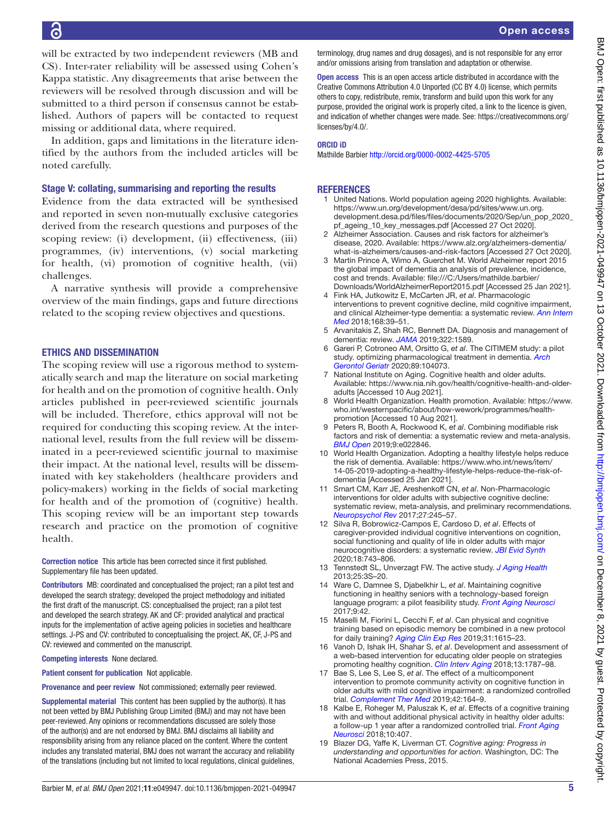will be extracted by two independent reviewers (MB and CS). Inter-rater reliability will be assessed using Cohen's Kappa statistic. Any disagreements that arise between the reviewers will be resolved through discussion and will be submitted to a third person if consensus cannot be established. Authors of papers will be contacted to request missing or additional data, where required.

In addition, gaps and limitations in the literature identified by the authors from the included articles will be noted carefully.

#### Stage V: collating, summarising and reporting the results

Evidence from the data extracted will be synthesised and reported in seven non-mutually exclusive categories derived from the research questions and purposes of the scoping review: (i) development, (ii) effectiveness, (iii) programmes, (iv) interventions, (v) social marketing for health, (vi) promotion of cognitive health, (vii) challenges.

A narrative synthesis will provide a comprehensive overview of the main findings, gaps and future directions related to the scoping review objectives and questions.

#### ETHICS AND DISSEMINATION

The scoping review will use a rigorous method to systematically search and map the literature on social marketing for health and on the promotion of cognitive health. Only articles published in peer-reviewed scientific journals will be included. Therefore, ethics approval will not be required for conducting this scoping review. At the international level, results from the full review will be disseminated in a peer-reviewed scientific journal to maximise their impact. At the national level, results will be disseminated with key stakeholders (healthcare providers and policy-makers) working in the fields of social marketing for health and of the promotion of (cognitive) health. This scoping review will be an important step towards research and practice on the promotion of cognitive health.

Correction notice This article has been corrected since it first published. Supplementary file has been updated.

Contributors MB: coordinated and conceptualised the project; ran a pilot test and developed the search strategy; developed the project methodology and initiated the first draft of the manuscript. CS: conceptualised the project; ran a pilot test and developed the search strategy. AK and CF: provided analytical and practical inputs for the implementation of active ageing policies in societies and healthcare settings. J-PS and CV: contributed to conceptualising the project. AK, CF, J-PS and CV: reviewed and commented on the manuscript.

Competing interests None declared.

Patient consent for publication Not applicable.

Provenance and peer review Not commissioned; externally peer reviewed.

Supplemental material This content has been supplied by the author(s). It has not been vetted by BMJ Publishing Group Limited (BMJ) and may not have been peer-reviewed. Any opinions or recommendations discussed are solely those of the author(s) and are not endorsed by BMJ. BMJ disclaims all liability and responsibility arising from any reliance placed on the content. Where the content includes any translated material, BMJ does not warrant the accuracy and reliability of the translations (including but not limited to local regulations, clinical guidelines,

terminology, drug names and drug dosages), and is not responsible for any error and/or omissions arising from translation and adaptation or otherwise.

Open access This is an open access article distributed in accordance with the Creative Commons Attribution 4.0 Unported (CC BY 4.0) license, which permits others to copy, redistribute, remix, transform and build upon this work for any purpose, provided the original work is properly cited, a link to the licence is given, and indication of whether changes were made. See: [https://creativecommons.org/](https://creativecommons.org/licenses/by/4.0/) [licenses/by/4.0/](https://creativecommons.org/licenses/by/4.0/).

#### ORCID iD

Mathilde Barbier <http://orcid.org/0000-0002-4425-5705>

#### <span id="page-4-0"></span>**REFERENCES**

- 1 United Nations. World population ageing 2020 highlights. Available: [https://www.un.org/development/desa/pd/sites/www.un.org.](https://www.un.org/development/desa/pd/sites/www.un.org.development.desa.pd/files/files/documents/2020/Sep/un_pop_2020_pf_ageing_10_key_messages.pdf) [development.desa.pd/files/files/documents/2020/Sep/un\\_pop\\_2020\\_](https://www.un.org/development/desa/pd/sites/www.un.org.development.desa.pd/files/files/documents/2020/Sep/un_pop_2020_pf_ageing_10_key_messages.pdf) [pf\\_ageing\\_10\\_key\\_messages.pdf](https://www.un.org/development/desa/pd/sites/www.un.org.development.desa.pd/files/files/documents/2020/Sep/un_pop_2020_pf_ageing_10_key_messages.pdf) [Accessed 27 Oct 2020].
- <span id="page-4-1"></span>2 Alzheimer Association. Causes and risk factors for alzheimer's disease, 2020. Available: [https://www.alz.org/alzheimers-dementia/](https://www.alz.org/alzheimers-dementia/what-is-alzheimers/causes-and-risk-factors) [what-is-alzheimers/causes-and-risk-factors](https://www.alz.org/alzheimers-dementia/what-is-alzheimers/causes-and-risk-factors) [Accessed 27 Oct 2020].
- <span id="page-4-2"></span>3 Martin Prince A, Wimo A, Guerchet M. World Alzheimer report 2015 the global impact of dementia an analysis of prevalence, incidence, cost and trends. Available: [file:///C:/Users/mathilde.barbier/](file:///C:/Users/mathilde.barbier/Downloads/WorldAlzheimerReport2015.pdf) [Downloads/WorldAlzheimerReport2015.pdf](file:///C:/Users/mathilde.barbier/Downloads/WorldAlzheimerReport2015.pdf) [Accessed 25 Jan 2021].
- <span id="page-4-3"></span>4 Fink HA, Jutkowitz E, McCarten JR, *et al*. Pharmacologic interventions to prevent cognitive decline, mild cognitive impairment, and clinical Alzheimer-type dementia: a systematic review. *[Ann Intern](http://dx.doi.org/10.7326/M17-1529)  [Med](http://dx.doi.org/10.7326/M17-1529)* 2018;168:39–51.
- <span id="page-4-4"></span>5 Arvanitakis Z, Shah RC, Bennett DA. Diagnosis and management of dementia: review. *[JAMA](http://dx.doi.org/10.1001/jama.2019.4782)* 2019;322:1589.
- <span id="page-4-5"></span>6 Gareri P, Cotroneo AM, Orsitto G, *et al*. The CITIMEM study: a pilot study. optimizing pharmacological treatment in dementia. *[Arch](http://dx.doi.org/10.1016/j.archger.2020.104073)  [Gerontol Geriatr](http://dx.doi.org/10.1016/j.archger.2020.104073)* 2020;89:104073.
- <span id="page-4-6"></span>7 National Institute on Aging. Cognitive health and older adults. Available: [https://www.nia.nih.gov/health/cognitive-health-and-older](https://www.nia.nih.gov/health/cognitive-health-and-older-adults)[adults](https://www.nia.nih.gov/health/cognitive-health-and-older-adults) [Accessed 10 Aug 2021].
- <span id="page-4-7"></span>8 World Health Organization. Health promotion. Available: [https://www.](https://www.who.int/westernpacific/about/how-wework/programmes/health-promotion) [who.int/westernpacific/about/how-wework/programmes/health](https://www.who.int/westernpacific/about/how-wework/programmes/health-promotion)[promotion](https://www.who.int/westernpacific/about/how-wework/programmes/health-promotion) [Accessed 10 Aug 2021].
- <span id="page-4-8"></span>9 Peters R, Booth A, Rockwood K, *et al*. Combining modifiable risk factors and risk of dementia: a systematic review and meta-analysis. *[BMJ Open](http://dx.doi.org/10.1136/bmjopen-2018-022846)* 2019;9:e022846.
- <span id="page-4-9"></span>10 World Health Organization. Adopting a healthy lifestyle helps reduce the risk of dementia. Available: [https://www.who.int/news/item/](https://www.who.int/news/item/14-05-2019-adopting-a-healthy-lifestyle-helps-reduce-the-risk-of-dementia) [14-05-2019-adopting-a-healthy-lifestyle-helps-reduce-the-risk-of](https://www.who.int/news/item/14-05-2019-adopting-a-healthy-lifestyle-helps-reduce-the-risk-of-dementia)[dementia](https://www.who.int/news/item/14-05-2019-adopting-a-healthy-lifestyle-helps-reduce-the-risk-of-dementia) [Accessed 25 Jan 2021].
- <span id="page-4-10"></span>11 Smart CM, Karr JE, Areshenkoff CN, *et al*. Non-Pharmacologic interventions for older adults with subjective cognitive decline: systematic review, meta-analysis, and preliminary recommendations. *[Neuropsychol Rev](http://dx.doi.org/10.1007/s11065-017-9342-8)* 2017;27:245–57.
- <span id="page-4-11"></span>12 Silva R, Bobrowicz-Campos E, Cardoso D, *et al*. Effects of caregiver-provided individual cognitive interventions on cognition, social functioning and quality of life in older adults with major neurocognitive disorders: a systematic review. *[JBI Evid Synth](http://dx.doi.org/10.11124/JBISRIR-D-19-00125)* 2020;18:743–806.
- <span id="page-4-12"></span>13 Tennstedt SL, Unverzagt FW. The active study. *[J Aging Health](http://dx.doi.org/10.1177/0898264313518133)* 2013;25:3S–20.
- <span id="page-4-13"></span>14 Ware C, Damnee S, Djabelkhir L, *et al*. Maintaining cognitive functioning in healthy seniors with a technology-based foreign language program: a pilot feasibility study. *[Front Aging Neurosci](http://dx.doi.org/10.3389/fnagi.2017.00042)* 2017;9:42.
- <span id="page-4-14"></span>15 Maselli M, Fiorini L, Cecchi F, *et al*. Can physical and cognitive training based on episodic memory be combined in a new protocol for daily training? *[Aging Clin Exp Res](http://dx.doi.org/10.1007/s40520-018-1107-6)* 2019;31:1615–23.
- <span id="page-4-15"></span>16 Vanoh D, Ishak IH, Shahar S, *et al*. Development and assessment of a web-based intervention for educating older people on strategies promoting healthy cognition. *[Clin Interv Aging](http://dx.doi.org/10.2147/CIA.S157324)* 2018;13:1787–98.
- <span id="page-4-16"></span>17 Bae S, Lee S, Lee S, *et al*. The effect of a multicomponent intervention to promote community activity on cognitive function in older adults with mild cognitive impairment: a randomized controlled trial. *[Complement Ther Med](http://dx.doi.org/10.1016/j.ctim.2018.11.011)* 2019;42:164–9.
- 18 Kalbe E, Roheger M, Paluszak K, *et al*. Effects of a cognitive training with and without additional physical activity in healthy older adults: a follow-up 1 year after a randomized controlled trial. *[Front Aging](http://dx.doi.org/10.3389/fnagi.2018.00407)  [Neurosci](http://dx.doi.org/10.3389/fnagi.2018.00407)* 2018;10:407.
- <span id="page-4-17"></span>19 Blazer DG, Yaffe K, Liverman CT. *Cognitive aging: Progress in understanding and opportunities for action*. Washington, DC: The National Academies Press, 2015.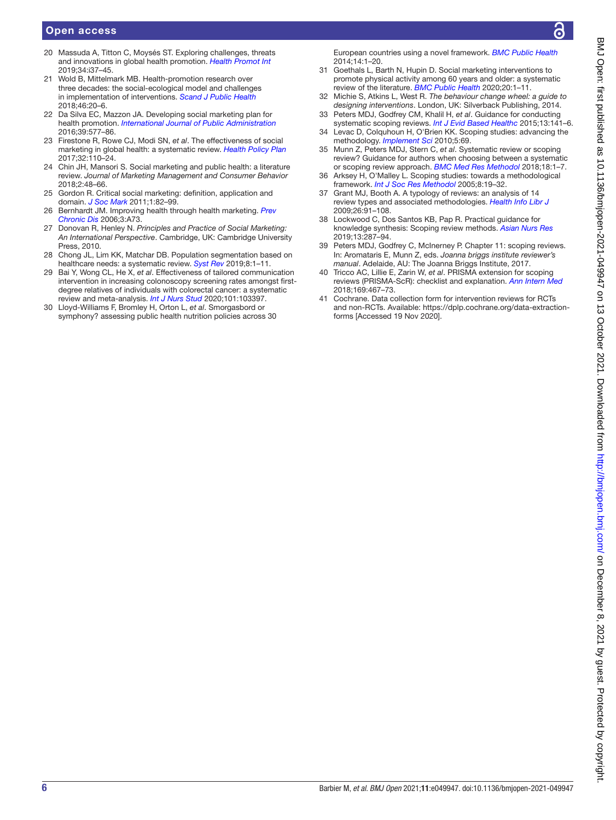### Open access

- <span id="page-5-0"></span>20 Massuda A, Titton C, Moysés ST. Exploring challenges, threats and innovations in global health promotion. *[Health Promot Int](http://dx.doi.org/10.1093/heapro/daz008)* 2019;34:i37–45.
- <span id="page-5-1"></span>21 Wold B, Mittelmark MB. Health-promotion research over three decades: the social-ecological model and challenges in implementation of interventions. *[Scand J Public Health](http://dx.doi.org/10.1177/1403494817743893)* 2018;46:20–6.
- <span id="page-5-2"></span>22 Da Silva EC, Mazzon JA. Developing social marketing plan for health promotion. *[International Journal of Public Administration](http://dx.doi.org/10.1080/01900692.2015.1023447)* 2016;39:577–86.
- 23 Firestone R, Rowe CJ, Modi SN, *et al*. The effectiveness of social marketing in global health: a systematic review. *[Health Policy Plan](http://dx.doi.org/10.1093/heapol/czw088)* 2017;32:110–24.
- 24 Chin JH, Mansori S. Social marketing and public health: a literature review. *Journal of Marketing Management and Consumer Behavior* 2018;2:48–66.
- <span id="page-5-3"></span>25 Gordon R. Critical social marketing: definition, application and domain. *[J Soc Mark](http://dx.doi.org/10.1108/20426761111141850)* 2011;1:82–99.
- <span id="page-5-4"></span>26 Bernhardt JM. Improving health through health marketing. *[Prev](http://www.ncbi.nlm.nih.gov/pubmed/16776874)  [Chronic Dis](http://www.ncbi.nlm.nih.gov/pubmed/16776874)* 2006;3:A73.
- <span id="page-5-5"></span>27 Donovan R, Henley N. *Principles and Practice of Social Marketing: An International Perspective*. Cambridge, UK: Cambridge University Press, 2010.
- <span id="page-5-6"></span>28 Chong JL, Lim KK, Matchar DB. Population segmentation based on healthcare needs: a systematic review. *[Syst Rev](http://dx.doi.org/10.1186/s13643-019-1105-6)* 2019;8:1–11.
- <span id="page-5-7"></span>29 Bai Y, Wong CL, He X, *et al*. Effectiveness of tailored communication intervention in increasing colonoscopy screening rates amongst firstdegree relatives of individuals with colorectal cancer: a systematic review and meta-analysis. *[Int J Nurs Stud](http://dx.doi.org/10.1016/j.ijnurstu.2019.103397)* 2020;101:103397.
- <span id="page-5-8"></span>30 Lloyd-Williams F, Bromley H, Orton L, *et al*. Smorgasbord or symphony? assessing public health nutrition policies across 30

European countries using a novel framework. *[BMC Public Health](http://dx.doi.org/10.1186/1471-2458-14-1195)* 2014;14:1–20.

- <span id="page-5-9"></span>31 Goethals L, Barth N, Hupin D. Social marketing interventions to promote physical activity among 60 years and older: a systematic review of the literature. *[BMC Public Health](http://dx.doi.org/10.1186/s12889-020-09386-x)* 2020;20:1–11.
- <span id="page-5-10"></span>32 Michie S, Atkins L, West R. *The behaviour change wheel: a guide to designing interventions*. London, UK: Silverback Publishing, 2014. 33 Peters MDJ, Godfrey CM, Khalil H, *et al*. Guidance for conducting
- <span id="page-5-11"></span>systematic scoping reviews. *[Int J Evid Based Healthc](http://dx.doi.org/10.1097/XEB.0000000000000050)* 2015;13:141–6. 34 Levac D, Colquhoun H, O'Brien KK. Scoping studies: advancing the
- <span id="page-5-13"></span><span id="page-5-12"></span>methodology. *[Implement Sci](http://dx.doi.org/10.1186/1748-5908-5-69)* 2010;5:69. 35 Munn Z, Peters MDJ, Stern C, *et al*. Systematic review or scoping review? Guidance for authors when choosing between a systematic or scoping review approach. *[BMC Med Res Methodol](http://dx.doi.org/10.1186/s12874-018-0611-x)* 2018;18:1–7.
- <span id="page-5-14"></span>36 Arksey H, O'Malley L. Scoping studies: towards a methodological framework. *[Int J Soc Res Methodol](http://dx.doi.org/10.1080/1364557032000119616)* 2005;8:19–32.
- 37 Grant MJ, Booth A. A typology of reviews: an analysis of 14 review types and associated methodologies. *[Health Info Libr J](http://dx.doi.org/10.1111/j.1471-1842.2009.00848.x)* 2009;26:91–108.
- <span id="page-5-15"></span>38 Lockwood C, Dos Santos KB, Pap R. Practical guidance for knowledge synthesis: Scoping review methods. *[Asian Nurs Res](http://dx.doi.org/10.1016/j.anr.2019.11.002)* 2019;13:287–94.
- <span id="page-5-16"></span>Peters MDJ, Godfrey C, McInerney P. Chapter 11: scoping reviews. In: Aromataris E, Munn Z, eds. *Joanna briggs institute reviewer's manual*. Adelaide, AU: The Joanna Briggs Institute, 2017.
- <span id="page-5-17"></span>40 Tricco AC, Lillie E, Zarin W, *et al*. PRISMA extension for scoping reviews (PRISMA-ScR): checklist and explanation. *[Ann Intern Med](http://dx.doi.org/10.7326/M18-0850)* 2018;169:467–73.
- <span id="page-5-18"></span>41 Cochrane. Data collection form for intervention reviews for RCTs and non-RCTs. Available: [https://dplp.cochrane.org/data-extraction](https://dplp.cochrane.org/data-extraction-forms)[forms](https://dplp.cochrane.org/data-extraction-forms) [Accessed 19 Nov 2020].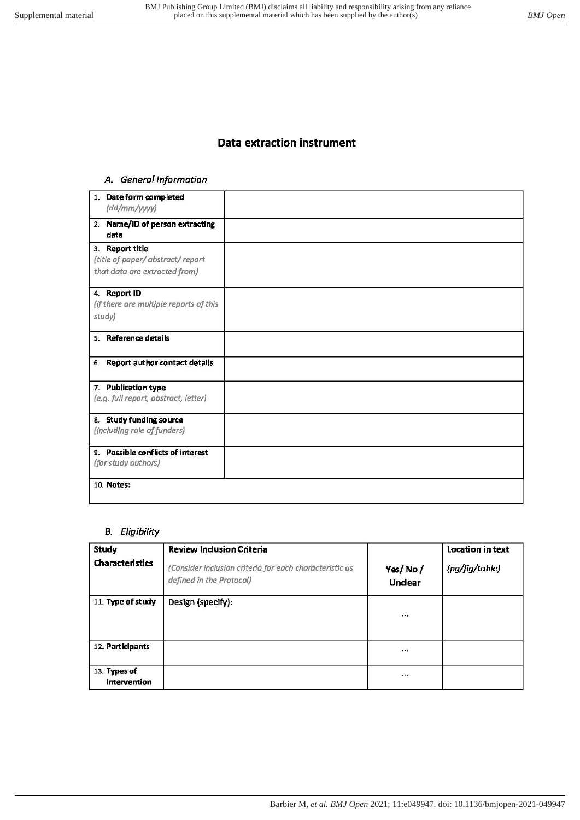# **Data extraction instrument**

# A. General Information

| 1. Date form completed<br>$\frac{dd}{mm}/\frac{wy}{y}$                              |  |
|-------------------------------------------------------------------------------------|--|
| 2. Name/ID of person extracting<br>data                                             |  |
| 3. Report title<br>(title of paper/abstract/report<br>that data are extracted from) |  |
| 4. Report ID<br>(if there are multiple reports of this<br>study)                    |  |
| 5. Reference details                                                                |  |
| 6. Report author contact details                                                    |  |
| 7. Publication type<br>(e.g. full report, abstract, letter)                         |  |
| 8. Study funding source<br>(including role of funders)                              |  |
| 9. Possible conflicts of interest<br>(for study authors)                            |  |
| 10. Notes:                                                                          |  |

# **B.** Eligibility

| <b>Study</b>                 | <b>Review Inclusion Criteria</b>                                                    |                    | <b>Location in text</b> |
|------------------------------|-------------------------------------------------------------------------------------|--------------------|-------------------------|
| <b>Characteristics</b>       | (Consider inclusion criteria for each characteristic as<br>defined in the Protocol) | Yes/No/<br>Unclear | (pg/fig/table)          |
| 11. Type of study            | Design (specify):                                                                   | 1.1.1              |                         |
| 12. Participants             |                                                                                     | $\cdots$           |                         |
| 13. Types of<br>intervention |                                                                                     | 1.1.1              |                         |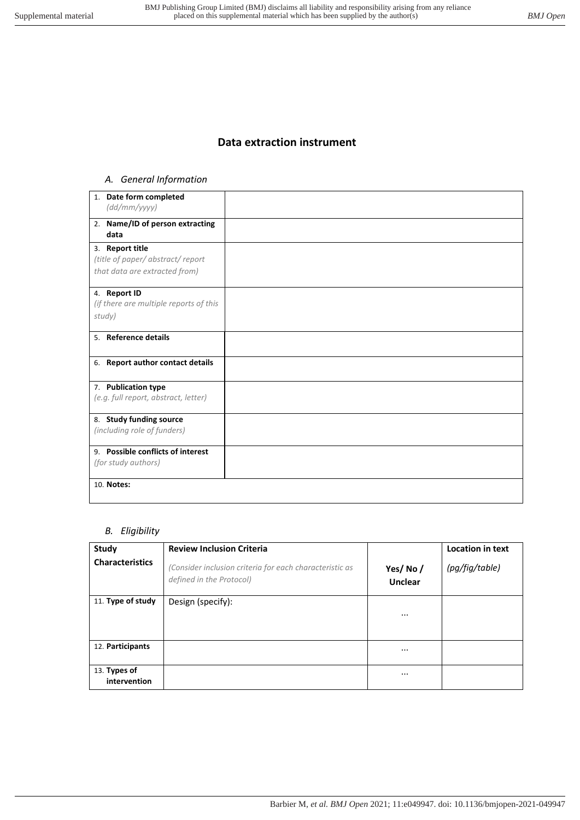# **Data extraction instrument**

# *A. General Information*

| 1. Date form completed<br>(dd/mm/yyyy)                                              |  |
|-------------------------------------------------------------------------------------|--|
| 2. Name/ID of person extracting<br>data                                             |  |
| 3. Report title<br>(title of paper/abstract/report<br>that data are extracted from) |  |
| 4. Report ID<br>(if there are multiple reports of this<br>study)                    |  |
| 5. Reference details                                                                |  |
| 6. Report author contact details                                                    |  |
| 7. Publication type<br>(e.g. full report, abstract, letter)                         |  |
| 8. Study funding source<br>(including role of funders)                              |  |
| 9. Possible conflicts of interest<br>(for study authors)                            |  |
| 10. Notes:                                                                          |  |

# *B. Eligibility*

| <b>Study</b>                 | <b>Review Inclusion Criteria</b>                                                    |                           | <b>Location in text</b> |
|------------------------------|-------------------------------------------------------------------------------------|---------------------------|-------------------------|
| <b>Characteristics</b>       | (Consider inclusion criteria for each characteristic as<br>defined in the Protocol) | Yes/No/<br><b>Unclear</b> | (pg/fig/table)          |
| 11. Type of study            | Design (specify):                                                                   |                           |                         |
| 12. Participants             |                                                                                     |                           |                         |
| 13. Types of<br>intervention |                                                                                     |                           |                         |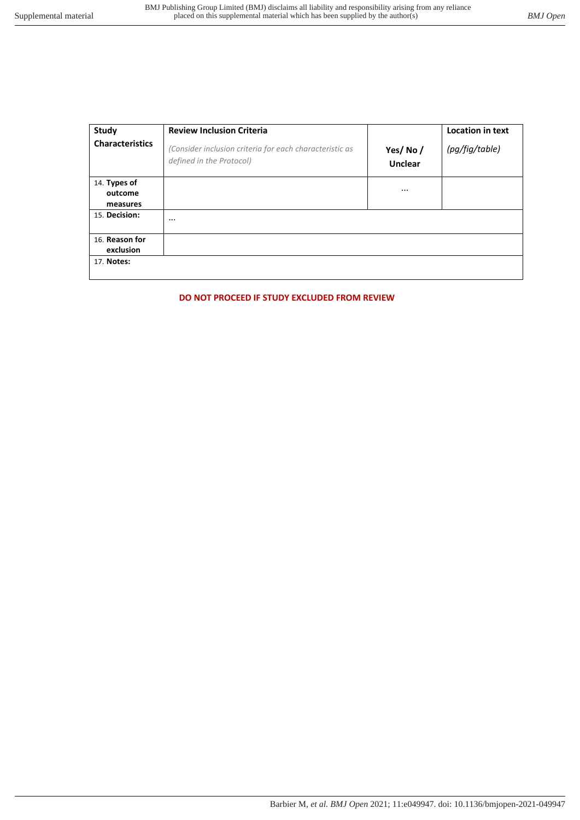| <b>Study</b>                | <b>Review Inclusion Criteria</b>                                                    |                           | <b>Location in text</b> |
|-----------------------------|-------------------------------------------------------------------------------------|---------------------------|-------------------------|
| <b>Characteristics</b>      | (Consider inclusion criteria for each characteristic as<br>defined in the Protocol) | Yes/No/<br><b>Unclear</b> | (pg/fig/table)          |
| 14. Types of<br>outcome     |                                                                                     | $\cdots$                  |                         |
| measures                    |                                                                                     |                           |                         |
| 15. Decision:               | $\cdots$                                                                            |                           |                         |
| 16. Reason for<br>exclusion |                                                                                     |                           |                         |
| 17. Notes:                  |                                                                                     |                           |                         |

# **DO NOT PROCEED IF STUDY EXCLUDED FROM REVIEW**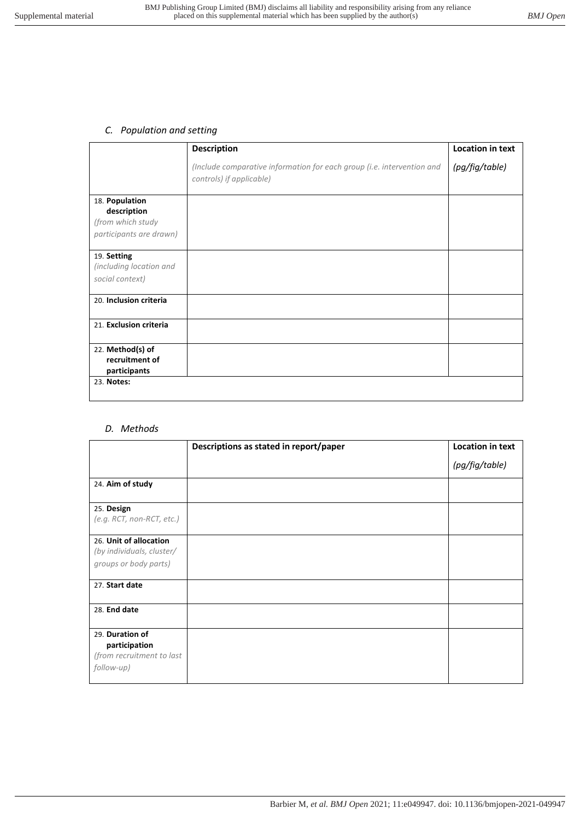# *C. Population and setting*

|                                                             | <b>Description</b>                                                                                 | <b>Location in text</b> |
|-------------------------------------------------------------|----------------------------------------------------------------------------------------------------|-------------------------|
|                                                             | (Include comparative information for each group (i.e. intervention and<br>controls) if applicable) | (pg/fig/table)          |
| 18. Population                                              |                                                                                                    |                         |
| description<br>(from which study<br>participants are drawn) |                                                                                                    |                         |
| 19. Setting<br>(including location and                      |                                                                                                    |                         |
| social context)                                             |                                                                                                    |                         |
| 20. Inclusion criteria                                      |                                                                                                    |                         |
| 21. Exclusion criteria                                      |                                                                                                    |                         |
| 22. Method(s) of<br>recruitment of<br>participants          |                                                                                                    |                         |
| 23. Notes:                                                  |                                                                                                    |                         |

### *D. Methods*

|                                  | Descriptions as stated in report/paper | <b>Location in text</b> |
|----------------------------------|----------------------------------------|-------------------------|
|                                  |                                        | (pg/fig/table)          |
| 24. Aim of study                 |                                        |                         |
| 25. Design                       |                                        |                         |
| (e.g. RCT, non-RCT, etc.)        |                                        |                         |
| 26. Unit of allocation           |                                        |                         |
| (by individuals, cluster/        |                                        |                         |
| groups or body parts)            |                                        |                         |
| 27. Start date                   |                                        |                         |
| 28. End date                     |                                        |                         |
| 29. Duration of<br>participation |                                        |                         |
| (from recruitment to last        |                                        |                         |
| follow-up)                       |                                        |                         |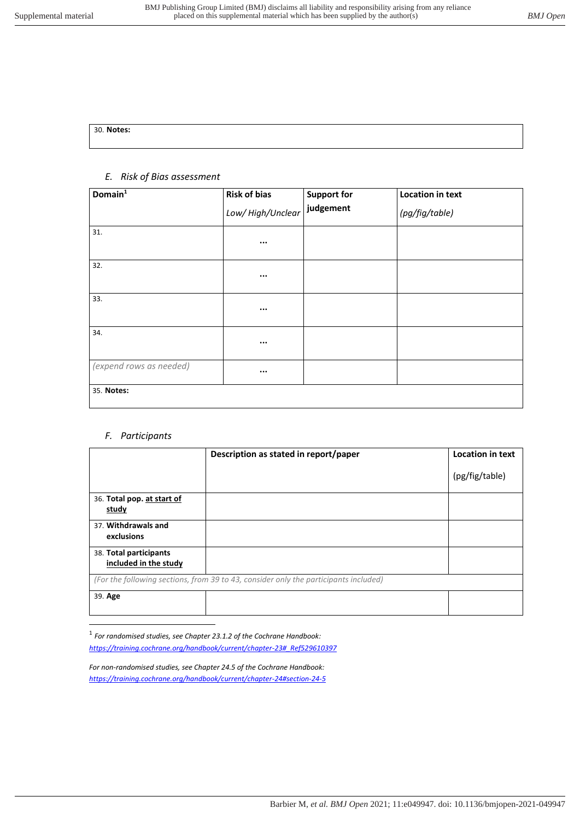| 30. Notes: |  |  |  |
|------------|--|--|--|
|            |  |  |  |

# *E. Risk of Bias assessment*

| Domain <sup>1</sup>     | <b>Risk of bias</b> | <b>Support for</b> | <b>Location in text</b> |
|-------------------------|---------------------|--------------------|-------------------------|
|                         | Low/ High/Unclear   | judgement          | (pg/fig/table)          |
| 31.                     | $\cdots$            |                    |                         |
| 32.                     | $\cdots$            |                    |                         |
| 33.                     | $\cdots$            |                    |                         |
| 34.                     | $\cdots$            |                    |                         |
| (expend rows as needed) | $\cdots$            |                    |                         |
| 35. Notes:              |                     |                    |                         |

# *F. Participants*

 $\overline{a}$ 

|                                                 | Description as stated in report/paper                                                | <b>Location in text</b> |
|-------------------------------------------------|--------------------------------------------------------------------------------------|-------------------------|
|                                                 |                                                                                      | (pg/fig/table)          |
| 36. Total pop. at start of<br>study             |                                                                                      |                         |
| 37. Withdrawals and<br>exclusions               |                                                                                      |                         |
| 38. Total participants<br>included in the study |                                                                                      |                         |
|                                                 | (For the following sections, from 39 to 43, consider only the participants included) |                         |
| 39. Age                                         |                                                                                      |                         |

<sup>1</sup> For randomised studies, see Chapter 23.1.2 of the Cochrane Handbook: *[https://training.cochrane.org/handbook/current/chapter-23#\\_Ref529610397](https://training.cochrane.org/handbook/current/chapter-23#_Ref529610397)*

*For non-randomised studies, see Chapter 24.5 of the Cochrane Handbook: <https://training.cochrane.org/handbook/current/chapter-24#section-24-5>*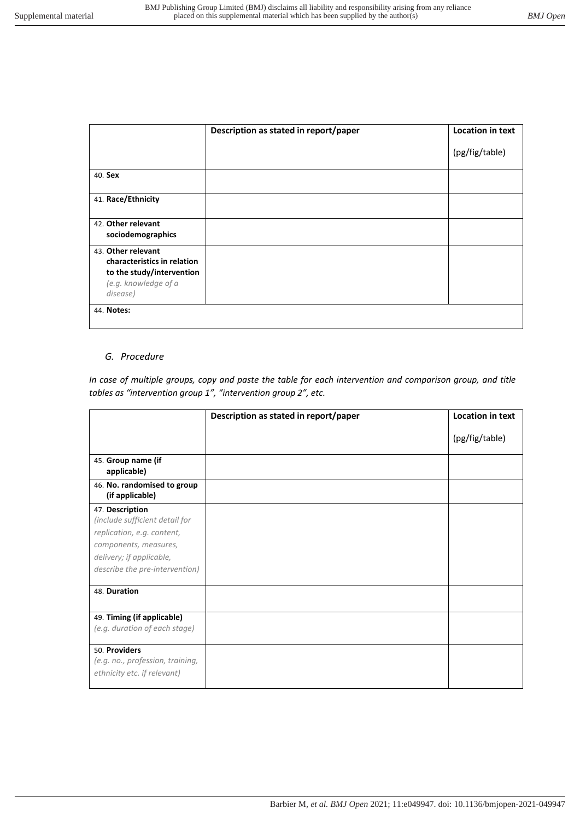|                                                                                                                    | Description as stated in report/paper | <b>Location in text</b> |
|--------------------------------------------------------------------------------------------------------------------|---------------------------------------|-------------------------|
|                                                                                                                    |                                       | (pg/fig/table)          |
| 40. Sex                                                                                                            |                                       |                         |
| 41. Race/Ethnicity                                                                                                 |                                       |                         |
| 42. Other relevant<br>sociodemographics                                                                            |                                       |                         |
| 43. Other relevant<br>characteristics in relation<br>to the study/intervention<br>(e.g. knowledge of a<br>disease) |                                       |                         |
| 44. Notes:                                                                                                         |                                       |                         |

# *G. Procedure*

*In case of multiple groups, copy and paste the table for each intervention and comparison group, and title tables as "intervention group 1", "intervention group 2", etc.*

|                                                                                                                                                                        | Description as stated in report/paper | <b>Location in text</b> |
|------------------------------------------------------------------------------------------------------------------------------------------------------------------------|---------------------------------------|-------------------------|
|                                                                                                                                                                        |                                       | (pg/fig/table)          |
| 45. Group name (if<br>applicable)                                                                                                                                      |                                       |                         |
| 46. No. randomised to group<br>(if applicable)                                                                                                                         |                                       |                         |
| 47. Description<br>(include sufficient detail for<br>replication, e.g. content,<br>components, measures,<br>delivery; if applicable,<br>describe the pre-intervention) |                                       |                         |
| 48. Duration                                                                                                                                                           |                                       |                         |
| 49. Timing (if applicable)<br>(e.g. duration of each stage)                                                                                                            |                                       |                         |
| 50. Providers<br>(e.g. no., profession, training,<br>ethnicity etc. if relevant)                                                                                       |                                       |                         |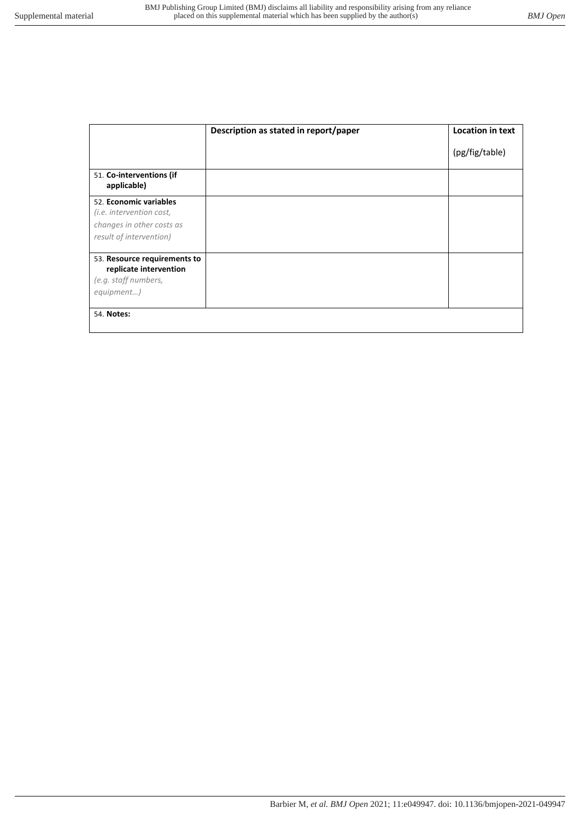|                                                                                                            | Description as stated in report/paper | <b>Location in text</b> |
|------------------------------------------------------------------------------------------------------------|---------------------------------------|-------------------------|
|                                                                                                            |                                       | (pg/fig/table)          |
| 51. Co-interventions (if<br>applicable)                                                                    |                                       |                         |
| 52. Economic variables<br>(i.e. intervention cost,<br>changes in other costs as<br>result of intervention) |                                       |                         |
| 53. Resource requirements to<br>replicate intervention<br>(e.g. staff numbers,<br>equipment)               |                                       |                         |
| 54. Notes:                                                                                                 |                                       |                         |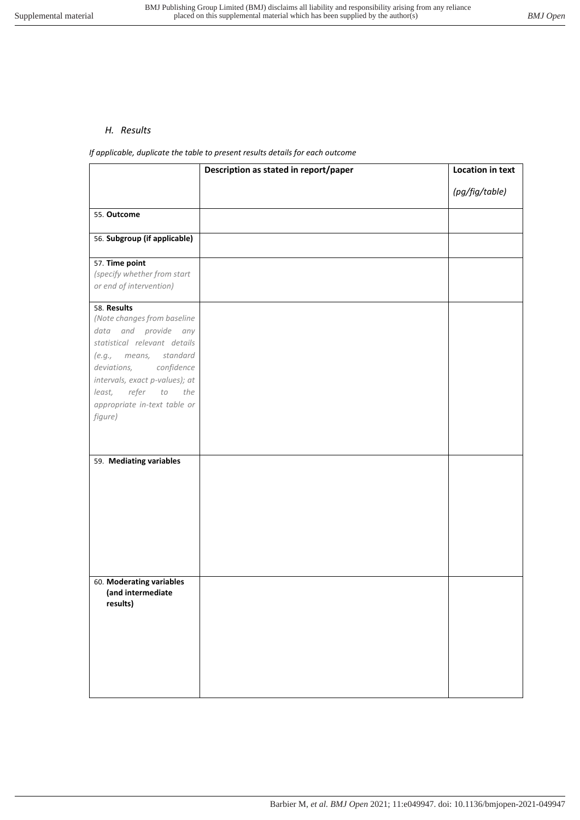### *H. Results*

*If applicable, duplicate the table to present results details for each outcome* 

|                                                                                                                                                                                                                                                                  | Description as stated in report/paper | <b>Location in text</b> |
|------------------------------------------------------------------------------------------------------------------------------------------------------------------------------------------------------------------------------------------------------------------|---------------------------------------|-------------------------|
|                                                                                                                                                                                                                                                                  |                                       | (pg/fig/table)          |
| 55. Outcome                                                                                                                                                                                                                                                      |                                       |                         |
| 56. Subgroup (if applicable)                                                                                                                                                                                                                                     |                                       |                         |
| 57. Time point<br>(specify whether from start<br>or end of intervention)                                                                                                                                                                                         |                                       |                         |
| 58. Results<br>(Note changes from baseline<br>data and provide any<br>statistical relevant details<br>(e.g., means, standard<br>deviations, confidence<br>intervals, exact p-values); at<br>refer<br>least,<br>to the<br>appropriate in-text table or<br>figure) |                                       |                         |
| 59. Mediating variables                                                                                                                                                                                                                                          |                                       |                         |
| 60. Moderating variables<br>(and intermediate<br>results)                                                                                                                                                                                                        |                                       |                         |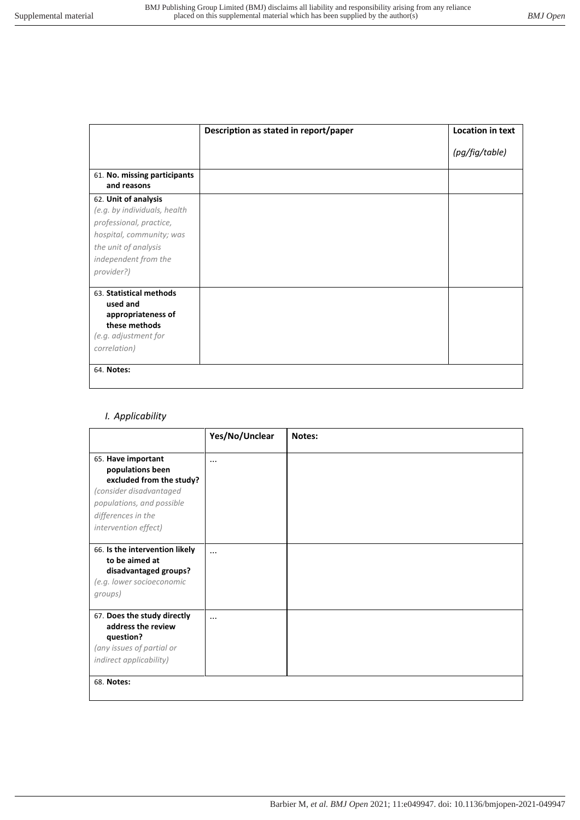|                                                                                                                                                                           | Description as stated in report/paper | <b>Location in text</b> |
|---------------------------------------------------------------------------------------------------------------------------------------------------------------------------|---------------------------------------|-------------------------|
|                                                                                                                                                                           |                                       | (pg/fig/table)          |
| 61. No. missing participants<br>and reasons                                                                                                                               |                                       |                         |
| 62. Unit of analysis<br>(e.g. by individuals, health<br>professional, practice,<br>hospital, community; was<br>the unit of analysis<br>independent from the<br>provider?) |                                       |                         |
| 63. Statistical methods<br>used and<br>appropriateness of<br>these methods<br>(e.g. adjustment for<br>correlation)                                                        |                                       |                         |
| 64. Notes:                                                                                                                                                                |                                       |                         |

*I. Applicability* 

|                                                                                                                                                                                 | Yes/No/Unclear | Notes: |
|---------------------------------------------------------------------------------------------------------------------------------------------------------------------------------|----------------|--------|
| 65. Have important<br>populations been<br>excluded from the study?<br>(consider disadvantaged<br>populations, and possible<br>differences in the<br><i>intervention effect)</i> | $\cdots$       |        |
| 66. Is the intervention likely<br>to be aimed at<br>disadvantaged groups?<br>(e.g. lower socioeconomic<br>groups)                                                               | $\cdots$       |        |
| 67. Does the study directly<br>address the review<br>question?<br>(any issues of partial or<br>indirect applicability)                                                          | $\cdots$       |        |
| 68. Notes:                                                                                                                                                                      |                |        |